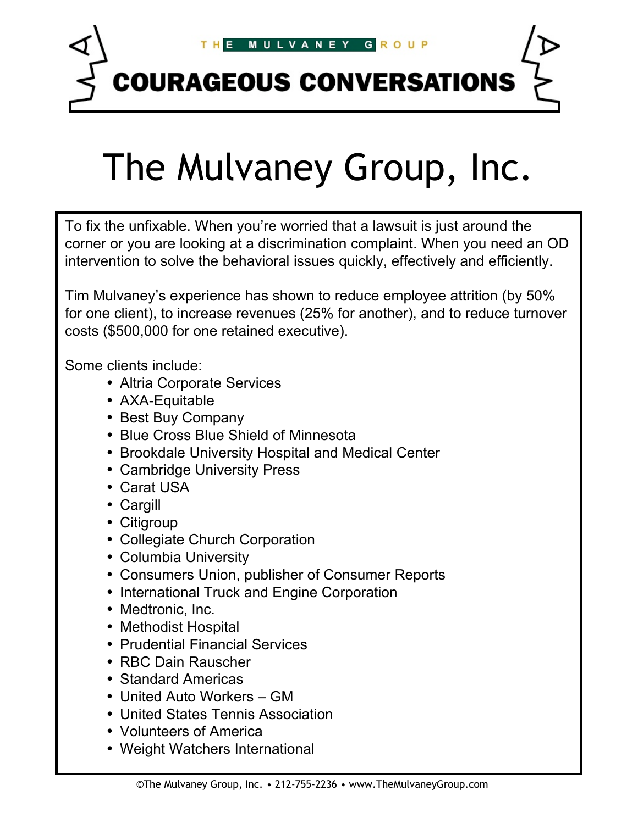

**COURAGEOUS CONVERSATIONS** 

# The Mulvaney Group, Inc.

To fix the unfixable. When you're worried that a lawsuit is just around the corner or you are looking at a discrimination complaint. When you need an OD intervention to solve the behavioral issues quickly, effectively and efficiently.

Tim Mulvaney's experience has shown to reduce employee attrition (by 50% for one client), to increase revenues (25% for another), and to reduce turnover costs (\$500,000 for one retained executive).

Some clients include:

- Altria Corporate Services
- AXA-Equitable
- Best Buy Company
- Blue Cross Blue Shield of Minnesota
- Brookdale University Hospital and Medical Center
- Cambridge University Press
- Carat USA
- Cargill
- Citigroup
- Collegiate Church Corporation
- Columbia University
- Consumers Union, publisher of Consumer Reports
- International Truck and Engine Corporation
- Medtronic, Inc.
- Methodist Hospital
- Prudential Financial Services
- RBC Dain Rauscher
- Standard Americas
- United Auto Workers GM
- United States Tennis Association
- Volunteers of America
- Weight Watchers International